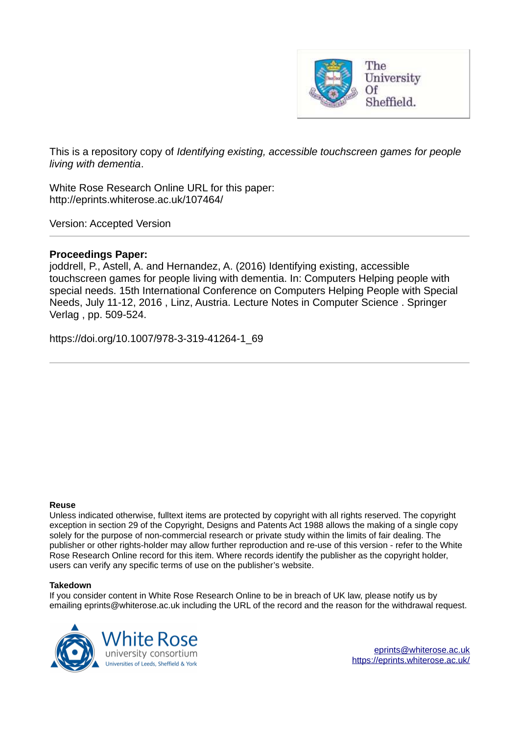

This is a repository copy of *Identifying existing, accessible touchscreen games for people living with dementia*.

White Rose Research Online URL for this paper: http://eprints.whiterose.ac.uk/107464/

Version: Accepted Version

## **Proceedings Paper:**

joddrell, P., Astell, A. and Hernandez, A. (2016) Identifying existing, accessible touchscreen games for people living with dementia. In: Computers Helping people with special needs. 15th International Conference on Computers Helping People with Special Needs, July 11-12, 2016 , Linz, Austria. Lecture Notes in Computer Science . Springer Verlag , pp. 509-524.

https://doi.org/10.1007/978-3-319-41264-1\_69

#### **Reuse**

Unless indicated otherwise, fulltext items are protected by copyright with all rights reserved. The copyright exception in section 29 of the Copyright, Designs and Patents Act 1988 allows the making of a single copy solely for the purpose of non-commercial research or private study within the limits of fair dealing. The publisher or other rights-holder may allow further reproduction and re-use of this version - refer to the White Rose Research Online record for this item. Where records identify the publisher as the copyright holder, users can verify any specific terms of use on the publisher's website.

### **Takedown**

If you consider content in White Rose Research Online to be in breach of UK law, please notify us by emailing eprints@whiterose.ac.uk including the URL of the record and the reason for the withdrawal request.

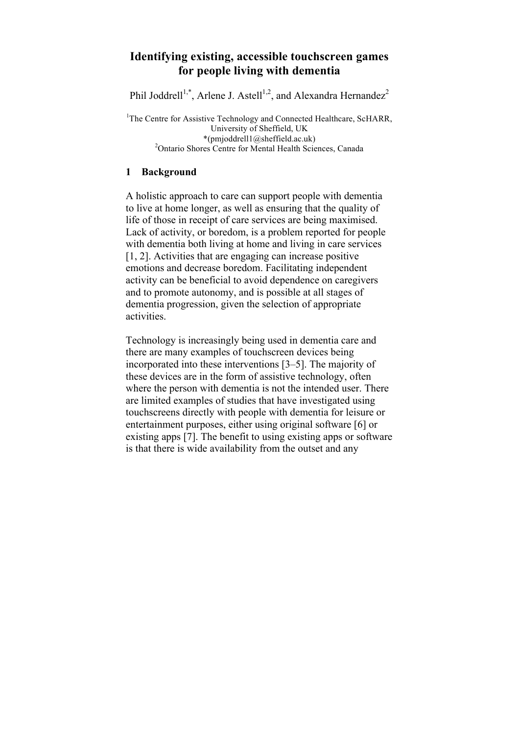# **Identifying existing, accessible touchscreen games for people living with dementia**

Phil Joddrell<sup>1,\*</sup>, Arlene J. Astell<sup>1,2</sup>, and Alexandra Hernandez<sup>2</sup>

<sup>1</sup>The Centre for Assistive Technology and Connected Healthcare, ScHARR, University of Sheffield, UK \*(pmjoddrell1@sheffield.ac.uk) <sup>2</sup>Ontario Shores Centre for Mental Health Sciences, Canada

## **1 Background**

A holistic approach to care can support people with dementia to live at home longer, as well as ensuring that the quality of life of those in receipt of care services are being maximised. Lack of activity, or boredom, is a problem reported for people with dementia both living at home and living in care services [1, 2]. Activities that are engaging can increase positive emotions and decrease boredom. Facilitating independent activity can be beneficial to avoid dependence on caregivers and to promote autonomy, and is possible at all stages of dementia progression, given the selection of appropriate activities.

Technology is increasingly being used in dementia care and there are many examples of touchscreen devices being incorporated into these interventions [3–5]. The majority of these devices are in the form of assistive technology, often where the person with dementia is not the intended user. There are limited examples of studies that have investigated using touchscreens directly with people with dementia for leisure or entertainment purposes, either using original software [6] or existing apps [7]. The benefit to using existing apps or software is that there is wide availability from the outset and any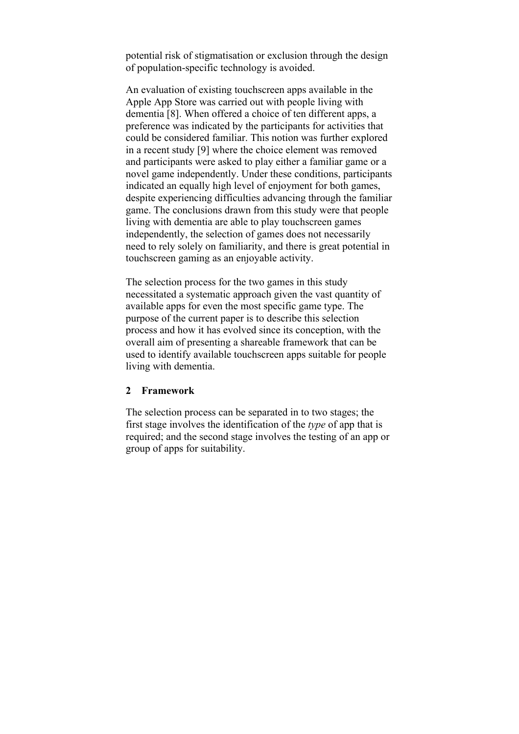potential risk of stigmatisation or exclusion through the design of population-specific technology is avoided.

An evaluation of existing touchscreen apps available in the Apple App Store was carried out with people living with dementia [8]. When offered a choice of ten different apps, a preference was indicated by the participants for activities that could be considered familiar. This notion was further explored in a recent study [9] where the choice element was removed and participants were asked to play either a familiar game or a novel game independently. Under these conditions, participants indicated an equally high level of enjoyment for both games, despite experiencing difficulties advancing through the familiar game. The conclusions drawn from this study were that people living with dementia are able to play touchscreen games independently, the selection of games does not necessarily need to rely solely on familiarity, and there is great potential in touchscreen gaming as an enjoyable activity.

The selection process for the two games in this study necessitated a systematic approach given the vast quantity of available apps for even the most specific game type. The purpose of the current paper is to describe this selection process and how it has evolved since its conception, with the overall aim of presenting a shareable framework that can be used to identify available touchscreen apps suitable for people living with dementia.

## **2 Framework**

The selection process can be separated in to two stages; the first stage involves the identification of the *type* of app that is required; and the second stage involves the testing of an app or group of apps for suitability.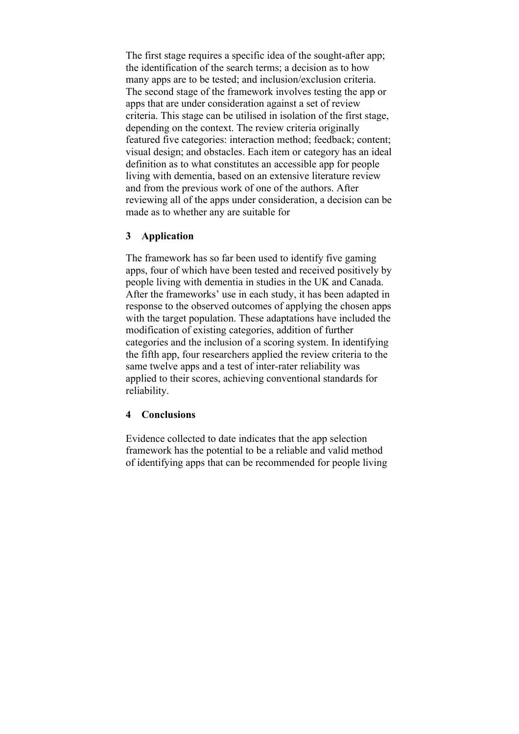The first stage requires a specific idea of the sought-after app: the identification of the search terms; a decision as to how many apps are to be tested; and inclusion/exclusion criteria. The second stage of the framework involves testing the app or apps that are under consideration against a set of review criteria. This stage can be utilised in isolation of the first stage, depending on the context. The review criteria originally featured five categories: interaction method; feedback; content; visual design; and obstacles. Each item or category has an ideal definition as to what constitutes an accessible app for people living with dementia, based on an extensive literature review and from the previous work of one of the authors. After reviewing all of the apps under consideration, a decision can be made as to whether any are suitable for

## **3 Application**

The framework has so far been used to identify five gaming apps, four of which have been tested and received positively by people living with dementia in studies in the UK and Canada. After the frameworks' use in each study, it has been adapted in response to the observed outcomes of applying the chosen apps with the target population. These adaptations have included the modification of existing categories, addition of further categories and the inclusion of a scoring system. In identifying the fifth app, four researchers applied the review criteria to the same twelve apps and a test of inter-rater reliability was applied to their scores, achieving conventional standards for reliability.

## **4 Conclusions**

Evidence collected to date indicates that the app selection framework has the potential to be a reliable and valid method of identifying apps that can be recommended for people living